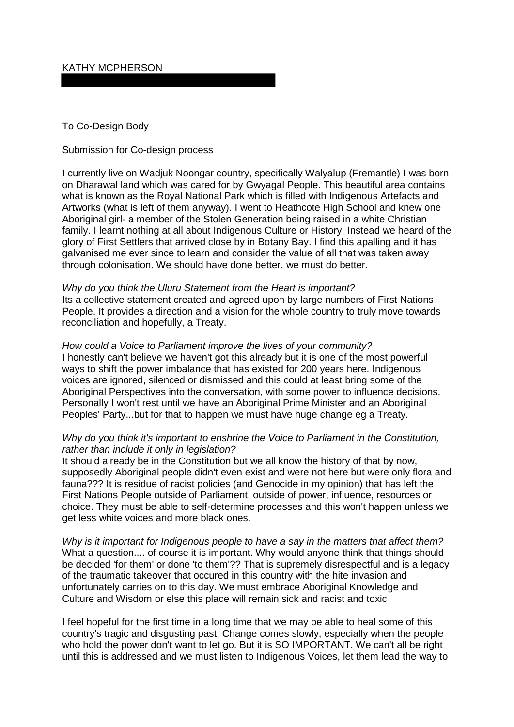# KATHY MCPHERSON

### To Co-Design Body

#### Submission for Co-design process

I currently live on Wadjuk Noongar country, specifically Walyalup (Fremantle) I was born on Dharawal land which was cared for by Gwyagal People. This beautiful area contains what is known as the Royal National Park which is filled with Indigenous Artefacts and Artworks (what is left of them anyway). I went to Heathcote High School and knew one Aboriginal girl- a member of the Stolen Generation being raised in a white Christian family. I learnt nothing at all about Indigenous Culture or History. Instead we heard of the glory of First Settlers that arrived close by in Botany Bay. I find this apalling and it has galvanised me ever since to learn and consider the value of all that was taken away through colonisation. We should have done better, we must do better.

#### *Why do you think the Uluru Statement from the Heart is important?*

Its a collective statement created and agreed upon by large numbers of First Nations People. It provides a direction and a vision for the whole country to truly move towards reconciliation and hopefully, a Treaty.

### *How could a Voice to Parliament improve the lives of your community?* I honestly can't believe we haven't got this already but it is one of the most powerful ways to shift the power imbalance that has existed for 200 years here. Indigenous

voices are ignored, silenced or dismissed and this could at least bring some of the Aboriginal Perspectives into the conversation, with some power to influence decisions. Personally I won't rest until we have an Aboriginal Prime Minister and an Aboriginal Peoples' Party...but for that to happen we must have huge change eg a Treaty.

# *Why do you think it's important to enshrine the Voice to Parliament in the Constitution, rather than include it only in legislation?*

It should already be in the Constitution but we all know the history of that by now, supposedly Aboriginal people didn't even exist and were not here but were only flora and fauna??? It is residue of racist policies (and Genocide in my opinion) that has left the First Nations People outside of Parliament, outside of power, influence, resources or choice. They must be able to self-determine processes and this won't happen unless we get less white voices and more black ones.

*Why is it important for Indigenous people to have a say in the matters that affect them?* What a question.... of course it is important. Why would anyone think that things should be decided 'for them' or done 'to them'?? That is supremely disrespectful and is a legacy of the traumatic takeover that occured in this country with the hite invasion and unfortunately carries on to this day. We must embrace Aboriginal Knowledge and Culture and Wisdom or else this place will remain sick and racist and toxic

I feel hopeful for the first time in a long time that we may be able to heal some of this country's tragic and disgusting past. Change comes slowly, especially when the people who hold the power don't want to let go. But it is SO IMPORTANT. We can't all be right until this is addressed and we must listen to Indigenous Voices, let them lead the way to